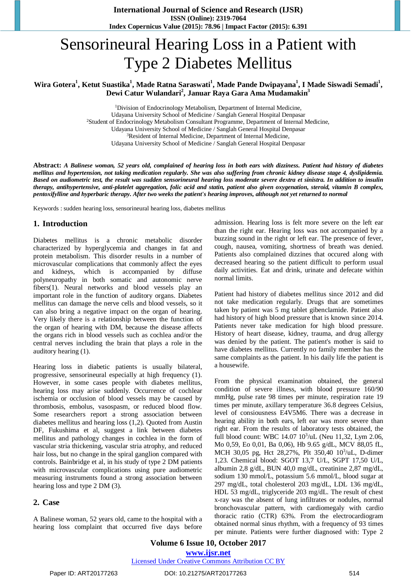**International Journal of Science and Research (IJSR) ISSN (Online): 2319-7064 Index Copernicus Value (2015): 78.96 | Impact Factor (2015): 6.391**

# Sensorineural Hearing Loss in a Patient with Type 2 Diabetes Mellitus

Wira Gotera<sup>1</sup>, Ketut Suastika<sup>1</sup>, Made Ratna Saraswati<sup>1</sup>, Made Pande Dwipayana<sup>1</sup>, I Made Siswadi Semadi<sup>1</sup>, **Dewi Catur Wulandari<sup>2</sup> , Januar Raya Gara Ama Mudamakin<sup>3</sup>**

> <sup>1</sup>Division of Endocrinology Metabolism, Department of Internal Medicine, Udayana University School of Medicine / Sanglah General Hospital Denpasar <sup>2</sup>Student of Endocrinology Metabolism Consultant Programme, Department of Internal Medicine, Udayana University School of Medicine / Sanglah General Hospital Denpasar <sup>3</sup>Resident of Internal Medicine, Department of Internal Medicine, Udayana University School of Medicine / Sanglah General Hospital Denpasar

Abstract: A Balinese woman, 52 years old, complained of hearing loss in both ears with dizziness. Patient had history of diabetes mellitus and hypertension, not taking medication regularly. She was also suffering from chronic kidney disease stage 4, dyslipidemia. Based on audiometric test, the result was sudden sensorineural hearing loss moderate severe dextra et sinistra. In addition to insulin therapy, antihypertensive, anti-platelet aggregation, folic acid and statin, patient also given oxygenation, steroid, vitamin B complex, pentoxifylline and hyperbaric therapy. After two weeks the patient's hearing improves, although not yet returned to normal

Keywords : sudden hearing loss, sensorineural hearing loss, diabetes mellitus

#### **1. Introduction**

Diabetes mellitus is a chronic metabolic disorder characterized by hyperglycemia and changes in fat and protein metabolism. This disorder results in a number of microvascular complications that commonly affect the eyes and kidneys, which is accompanied by diffuse polyneuropathy in both somatic and autonomic nerve fibers(1). Neural networks and blood vessels play an important role in the function of auditory organs. Diabetes mellitus can damage the nerve cells and blood vessels, so it can also bring a negative impact on the organ of hearing. Very likely there is a relationship between the function of the organ of hearing with DM, because the disease affects the organs rich in blood vessels such as cochlea and/or the central nerves including the brain that plays a role in the auditory hearing (1).

Hearing loss in diabetic patients is usually bilateral, progressive, sensorineural especially at high frequency (1). However, in some cases people with diabetes mellitus, hearing loss may arise suddenly. Occurrence of cochlear ischemia or occlusion of blood vessels may be caused by thrombosis, embolus, vasospasm, or reduced blood flow. Some researchers report a strong association between diabetes mellitus and hearing loss (1,2). Quoted from Austin DF, Fukushima et al, suggest a link between diabetes mellitus and pathology changes in cochlea in the form of vascular stria thickening, vascular stria atrophy, and reduced hair loss, but no change in the spiral ganglion compared with controls. Bainbridge et al, in his study of type 2 DM patients with microvascular complications using pure audiometric measuring instruments found a strong association between hearing loss and type 2 DM (3).

#### **2. Case**

A Balinese woman, 52 years old, came to the hospital with a hearing loss complaint that occurred five days before admission. Hearing loss is felt more severe on the left ear than the right ear. Hearing loss was not accompanied by a buzzing sound in the right or left ear. The presence of fever, cough, nausea, vomiting, shortness of breath was denied. Patients also complained dizzines that occured along with decreased hearing so the patient difficult to perform usual daily activities. Eat and drink, urinate and defecate within normal limits.

Patient had history of diabetes mellitus since 2012 and did not take medication regularly. Drugs that are sometimes taken by patient was 5 mg tablet gibenclamide. Patient also had history of high blood pressure that is known since 2014. Patients never take medication for high blood pressure. History of heart disease, kidney, trauma, and drug allergy was denied by the patient. The patient's mother is said to have diabetes mellitus. Currently no family member has the same complaints as the patient. In his daily life the patient is a housewife.

From the physical examination obtained, the general condition of severe illness, with blood pressure 160/90 mmHg, pulse rate 98 times per minute, respiration rate 19 times per minute, axillary temperature 36.8 degrees Celsius, level of consiousness E4V5M6. There was a decrease in hearing ability in both ears, left ear was more severe than right ear. From the results of laboratory tests obtained, the full blood count: WBC 14.07 10<sup>3</sup>/uL (Neu 11,32, Lym 2.06, Mo 0,59, Eo 0,01, Ba 0,06), Hb 9.65 g/dL, MCV 88,05 fL, MCH 30,05 pg, Hct 28,27%, Plt 350,40 10<sup>3</sup>/uL, D-dimer 1,23. Chemical blood: SGOT 13,7 U/L, SGPT 17,50 U/L, albumin 2,8 g/dL, BUN 40,0 mg/dL, creatinine 2,87 mg/dL, sodium 130 mmol/L, potassium 5.6 mmol/L, blood sugar at 297 mg/dL, total cholesterol 203 mg/dL, LDL 136 mg/dL, HDL 53 mg/dL, triglyceride 203 mg/dL. The result of chest x-ray was the absent of lung infiltrates or nodules, normal bronchovascular pattern, with cardiomegaly with cardio thoracic ratio (CTR) 63%. From the electrocardiogram obtained normal sinus rhythm, with a frequency of 93 times per minute. Patients were further diagnosed with: Type 2

**Volume 6 Issue 10, October 2017 [www.ijsr.net](../Downloads/www.ijsr.net)**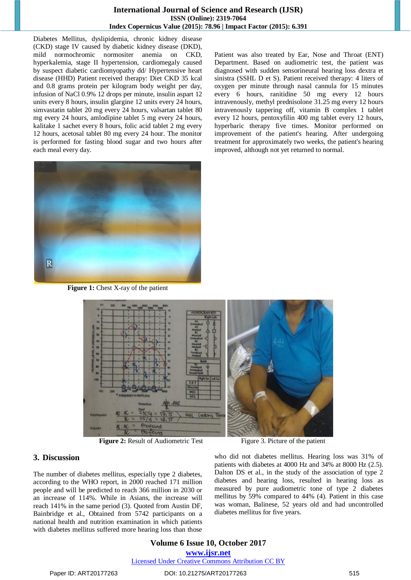#### **International Journal of Science and Research (IJSR) ISSN (Online): 2319-7064 Index Copernicus Value (2015): 78.96 | Impact Factor (2015): 6.391**

Diabetes Mellitus, dyslipidemia, chronic kidney disease (CKD) stage IV caused by diabetic kidney disease (DKD), mild normochromic normositer anemia on CKD, hyperkalemia, stage II hypertension, cardiomegaly caused by suspect diabetic cardiomyopathy dd/ Hypertensive heart disease (HHD) Patient received therapy: Diet CKD 35 kcal and 0.8 grams protein per kilogram body weight per day, infusion of NaCl 0.9% 12 drops per minute, insulin aspart 12 units every 8 hours, insulin glargine 12 units every 24 hours, simvastatin tablet 20 mg every 24 hours, valsartan tablet 80 mg every 24 hours, amlodipine tablet 5 mg every 24 hours, kalitake 1 sachet every 8 hours, folic acid tablet 2 mg every 12 hours, acetosal tablet 80 mg every 24 hour. The monitor is performed for fasting blood sugar and two hours after each meal every day.



**Figure 1:** Chest X-ray of the patient



**Figure 2:** Result of Audiometric Test Figure 3. Picture of the patient

## **3. Discussion**

The number of diabetes mellitus, especially type 2 diabetes, according to the WHO report, in 2000 reached 171 million people and will be predicted to reach 366 million in 2030 or an increase of 114%. While in Asians, the increase will reach 141% in the same period (3). Quoted from Austin DF, Bainbridge et al., Obtained from 5742 participants on a national health and nutrition examination in which patients with diabetes mellitus suffered more hearing loss than those

who did not diabetes mellitus. Hearing loss was 31% of patients with diabetes at 4000 Hz and 34% at 8000 Hz (2.5). Dalton DS et al., in the study of the association of type 2 diabetes and hearing loss, resulted in hearing loss as measured by pure audiometric tone of type 2 diabetes mellitus by 59% compared to 44% (4). Patient in this case was woman, Balinese, 52 years old and had uncontrolled diabetes mellitus for five years.

Patient was also treated by Ear, Nose and Throat (ENT) Department. Based on audiometric test, the patient was diagnosed with sudden sensorineural hearing loss dextra et sinistra (SSHL D et S). Patient received therapy: 4 liters of oxygen per minute through nasal cannula for 15 minutes every 6 hours, ranitidine 50 mg every 12 hours intravenously, methyl prednisolone 31.25 mg every 12 hours intravenously tappering off, vitamin B complex 1 tablet every 12 hours, pentoxyfilin 400 mg tablet every 12 hours, hyperbaric therapy five times. Monitor performed on improvement of the patient's hearing. After undergoing treatment for approximately two weeks, the patient's hearing

improved, although not yet returned to normal.

## **Volume 6 Issue 10, October 2017 [www.ijsr.net](../Downloads/www.ijsr.net)** [Licensed Under Creative Commons Attribution CC BY](http://creativecommons.org/licenses/by/4.0/)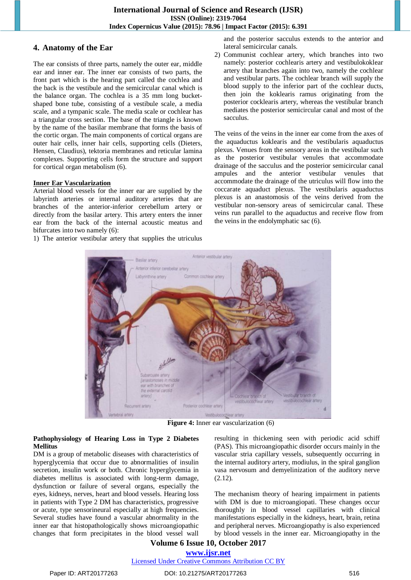# **4. Anatomy of the Ear**

The ear consists of three parts, namely the outer ear, middle ear and inner ear. The inner ear consists of two parts, the front part which is the hearing part called the cochlea and the back is the vestibule and the semicircular canal which is the balance organ. The cochlea is a 35 mm long bucketshaped bone tube, consisting of a vestibule scale, a media scale, and a tympanic scale. The media scale or cochlear has a triangular cross section. The base of the triangle is known by the name of the basilar membrane that forms the basis of the cortic organ. The main components of cortical organs are outer hair cells, inner hair cells, supporting cells (Dieters, Hensen, Claudius), tektoria membranes and reticular lamina complexes. Supporting cells form the structure and support for cortical organ metabolism (6).

#### **Inner Ear Vascularization**

Arterial blood vessels for the inner ear are supplied by the labyrinth arteries or internal auditory arteries that are branches of the anterior-inferior cerebellum artery or directly from the basilar artery. This artery enters the inner ear from the back of the internal acoustic meatus and bifurcates into two namely (6):

1) The anterior vestibular artery that supplies the utriculus

and the posterior sacculus extends to the anterior and lateral semicircular canals.

2) Communist cochlear artery, which branches into two namely: posterior cochlearis artery and vestibulokoklear artery that branches again into two, namely the cochlear and vestibular parts. The cochlear branch will supply the blood supply to the inferior part of the cochlear ducts, then join the koklearis ramus originating from the posterior cocklearis artery, whereas the vestibular branch mediates the posterior semicircular canal and most of the sacculus.

The veins of the veins in the inner ear come from the axes of the aquaductus koklearis and the vestibularis aquaductus plexus. Venues from the sensory areas in the vestibular such as the posterior vestibular venules that accommodate drainage of the sacculus and the posterior semicircular canal ampules and the anterior vestibular venules that accommodate the drainage of the utriculus will flow into the coccarate aquaduct plexus. The vestibularis aquaductus plexus is an anastomosis of the veins derived from the vestibular non-sensory areas of semicircular canal. These veins run parallel to the aquaductus and receive flow from the veins in the endolymphatic sac (6).



**Figure 4:** Inner ear vascularization (6)

#### **Pathophysiology of Hearing Loss in Type 2 Diabetes Mellitus**

DM is a group of metabolic diseases with characteristics of hyperglycemia that occur due to abnormalities of insulin secretion, insulin work or both. Chronic hyperglycemia in diabetes mellitus is associated with long-term damage, dysfunction or failure of several organs, especially the eyes, kidneys, nerves, heart and blood vessels. Hearing loss in patients with Type 2 DM has characteristics, progressive or acute, type sensorineural especially at high frequencies. Several studies have found a vascular abnormality in the inner ear that histopathologically shows microangiopathic changes that form precipitates in the blood vessel wall

resulting in thickening seen with periodic acid schiff (PAS). This microangiopathic disorder occurs mainly in the vascular stria capillary vessels, subsequently occurring in the internal auditory artery, modiulus, in the spiral ganglion vasa nervosum and demyelinization of the auditory nerve (2.12).

The mechanism theory of hearing impairment in patients with DM is due to microangiopati. These changes occur thoroughly in blood vessel capillaries with clinical manifestations especially in the kidneys, heart, brain, retina and peripheral nerves. Microangiopathy is also experienced by blood vessels in the inner ear. Microangiopathy in the

# **Volume 6 Issue 10, October 2017 [www.ijsr.net](../Downloads/www.ijsr.net)**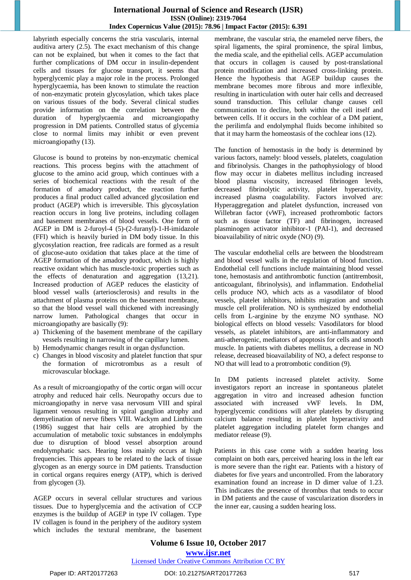## **International Journal of Science and Research (IJSR) ISSN (Online): 2319-7064 Index Copernicus Value (2015): 78.96 | Impact Factor (2015): 6.391**

labyrinth especially concerns the stria vascularis, internal auditiva artery (2.5). The exact mechanism of this change can not be explained, but when it comes to the fact that further complications of DM occur in insulin-dependent cells and tissues for glucose transport, it seems that hyperglycemic play a major role in the process. Prolonged hyperglycaemia, has been known to stimulate the reaction of non-enzymatic protein glycosylation, which takes place on various tissues of the body. Several clinical studies provide information on the correlation between the duration of hyperglycaemia and microangiopathy progression in DM patients. Controlled status of glycemia close to normal limits may inhibit or even prevent microangiopathy (13).

Glucose is bound to proteins by non-enzymatic chemical reactions. This process begins with the attachment of glucose to the amino acid group, which continues with a series of biochemical reactions with the result of the formation of amadory product, the reaction further produces a final product called advanced glycosilation end product (AGEP) which is irreversible. This glycosylation reaction occurs in long live proteins, including collagen and basement membranes of blood vessels. One form of AGEP in DM is 2-furoyl-4 (5)-(2-furanyl)-1-H-imidazole (FFI) which is heavily buried in DM body tissue. In this glycosylation reaction, free radicals are formed as a result of glucose-auto oxidation that takes place at the time of AGEP formation of the amadory product, which is highly reactive oxidant which has muscle-toxic properties such as the effects of denaturation and aggregation (13,21). Increased production of AGEP reduces the elasticity of blood vessel walls (arteriosclerosis) and results in the attachment of plasma proteins on the basement membrane, so that the blood vessel wall thickened with increasingly narrow lumen. Pathological changes that occur in microangiopathy are basically (9):

- a) Thickening of the basement membrane of the capillary vessels resulting in narrowing of the capillary lumen.
- b) Hemodynamic changes result in organ dysfunction.
- c) Changes in blood viscosity and platelet function that spur the formation of microtrombus as a result of microvascular blockage.

As a result of microangiopathy of the cortic organ will occur atrophy and reduced hair cells. Neuropathy occurs due to microangiopathy in nerve vasa nervosum VIII and spiral ligament venous resulting in spiral ganglion atrophy and demyelination of nerve fibers VIII. Wackym and Linthicum (1986) suggest that hair cells are atrophied by the accumulation of metabolic toxic substances in endolymphs due to disruption of blood vessel absorption around endolymphatic sacs. Hearing loss mainly occurs at high frequencies. This appears to be related to the lack of tissue glycogen as an energy source in DM patients. Transduction in cortical organs requires energy (ATP), which is derived from glycogen (3).

AGEP occurs in several cellular structures and various tissues. Due to hyperglycemia and the activation of CCP enzymes is the buildup of AGEP in type IV collagen. Type IV collagen is found in the periphery of the auditory system which includes the textural membrane, the basement membrane, the vascular stria, the enameled nerve fibers, the spiral ligaments, the spiral prominence, the spiral limbus, the media scale, and the epithelial cells. AGEP accumulation that occurs in collagen is caused by post-translational protein modification and increased cross-linking protein. Hence the hypothesis that AGEP buildup causes the membrane becomes more fibrous and more inflexible, resulting in inarticulation with outer hair cells and decreased sound transduction. This cellular change causes cell communication to decline, both within the cell itself and between cells. If it occurs in the cochlear of a DM patient, the perilimfa and endolymphal fluids become inhibited so that it may harm the homeostasis of the cochlear ions (12).

The function of hemostasis in the body is determined by various factors, namely: blood vessels, platelets, coagulation and fibrinolysis. Changes in the pathophysiology of blood flow may occur in diabetes mellitus including increased blood plasma viscosity, increased fibrinogen levels, decreased fibrinolytic activity, platelet hyperactivity, increased plasma coagulability. Factors involved are: Hyperaggregation and platelet dysfunction, increased von Willebran factor (vWF), increased prothrombotic factors such as tissue factor (TF) and fibrinogen, increased plasminogen activator inhibitor-1 (PAI-1), and decreased bioavailability of nitric oxyde (NO) (9).

The vascular endothelial cells are between the bloodstream and blood vessel walls in the regulation of blood function. Endothelial cell functions include maintaining blood vessel tone, hemostasis and antithrombotic function (antitrembosit, anticoagulant, fibrinolysis), and inflammation. Endothelial cells produce NO, which acts as a vasodilator of blood vessels, platelet inhibitors, inhibits migration and smooth muscle cell proliferation. NO is synthesized by endothelial cells from L-arginine by the enzyme NO synthase. NO biological effects on blood vessels: Vasodilators for blood vessels, as platelet inhibitors, are anti-inflammatory and anti-atherogenic, mediators of apoptosis for cells and smooth muscle. In patients with diabetes mellitus, a decrease in NO release, decreased bioavailability of NO, a defect response to NO that will lead to a protrombotic condition (9).

In DM patients increased platelet activity. Some investigators report an increase in spontaneous platelet aggregation in vitro and increased adhesion function associated with increased vWF levels. In DM, hyperglycemic conditions will alter platelets by disrupting calcium balance resulting in platelet hyperactivity and platelet aggregation including platelet form changes and mediator release (9).

Patients in this case come with a sudden hearing loss complaint on both ears, perceived hearing loss in the left ear is more severe than the right ear. Patients with a history of diabetes for five years and uncontrolled. From the laboratory examination found an increase in D dimer value of 1.23. This indicates the presence of thrombus that tends to occur in DM patients and the cause of vascularization disorders in the inner ear, causing a sudden hearing loss.

**Volume 6 Issue 10, October 2017 [www.ijsr.net](../Downloads/www.ijsr.net)** [Licensed Under Creative Commons Attribution CC BY](http://creativecommons.org/licenses/by/4.0/)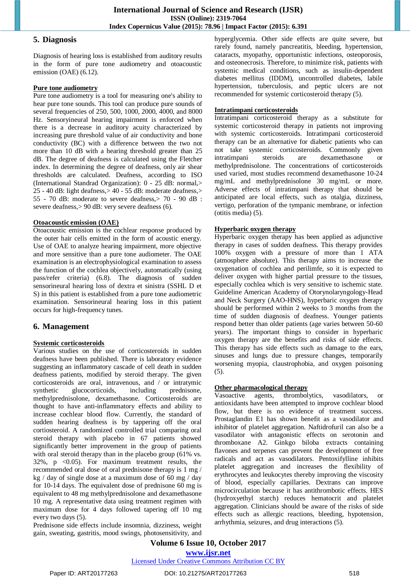#### **5. Diagnosis**

Diagnosis of hearing loss is established from auditory results in the form of pure tone audiometry and otoacoustic emission (OAE) (6.12).

#### **Pure tone audiometry**

Pure tone audiometry is a tool for measuring one's ability to hear pure tone sounds. This tool can produce pure sounds of several frequencies of 250, 500, 1000, 2000, 4000, and 8000 Hz. Sensoryineural hearing impairment is enforced when there is a decrease in auditory acuity characterized by increasing pure threshold value of air conductivity and bone conductivity (BC) with a difference between the two not more than 10 dB with a hearing threshold greater than 25 dB. The degree of deafness is calculated using the Fletcher index. In determining the degree of deafness, only air shear thresholds are calculated. Deafness, according to ISO (International Standrad Organization): 0 - 25 dB: normal,> 25 - 40 dB: light deafness,> 40 - 55 dB: moderate deafness,> 55 - 70 dB: moderate to severe deafness,> 70 - 90 dB : severe deafness,> 90 dB: very severe deafness (6).

#### **Otoacoustic emission (OAE)**

Otoacoustic emission is the cochlear response produced by the outer hair cells emitted in the form of acoustic energy. Use of OAE to analyze hearing impairment, more objective and more sensitive than a pure tone audiometer. The OAE examination is an electrophysiological examination to assess the function of the cochlea objectively, automatically (using pass/refer criteria) (6.8). The diagnosis of sudden sensorineural hearing loss of dextra et sinistra (SSHL D et S) in this patient is established from a pure tone audiometric examination. Sensorineural hearing loss in this patient occurs for high-frequency tunes.

# **6. Management**

## **Systemic corticosteroids**

Various studies on the use of corticosteroids in sudden deafness have been published. There is laboratory evidence suggesting an inflammatory cascade of cell death in sudden deafness patients, modified by steroid therapy. The given corticosteroids are oral, intravenous, and / or intratymic synthetic glucocorticoids, including prednisone, methylprednisolone, dexamethasone. Corticosteroids are thought to have anti-inflammatory effects and ability to increase cochlear blood flow. Currently, the standard of sudden hearing deafness is by tappering off the oral cortiosteroid. A randomized controlled trial comparing oral steroid therapy with placebo in 67 patients showed significantly better improvement in the group of patients with oral steroid therapy than in the placebo group (61% vs.  $32\%$ , p  $\lt 0.05$ ). For maximum treatment results, the recommended oral dose of oral prednisone therapy is 1 mg / kg  $\frac{1}{2}$  day of single dose at a maximum dose of 60 mg  $\frac{1}{2}$  day for 10-14 days. The equivalent dose of prednisone 60 mg is equivalent to 48 mg methylprednisolone and dexamethasone 10 mg. A representative data using treatment regimen with maximum dose for 4 days followed tapering off 10 mg every two days (5).

Prednisone side effects include insomnia, dizziness, weight gain, sweating, gastritis, mood swings, photosensitivity, and

hyperglycemia. Other side effects are quite severe, but rarely found, namely pancreatitis, bleeding, hypertension, cataracts, myopathy, opportunistic infections, osteoporosis, and osteonecrosis. Therefore, to minimize risk, patients with systemic medical conditions, such as insulin-dependent diabetes mellitus (IDDM), uncontrolled diabetes, labile hypertension, tuberculosis, and peptic ulcers are not recommended for systemic corticosteroid therapy (5).

## **Intratimpani corticosteroids**

Intratimpani corticosteroid therapy as a substitute for systemic corticosteroid therapy in patients not improving with systemic corticosteroids. Intratimpani corticosteroid therapy can be an alternative for diabetic patients who can not take systemic corticosteroids. Commonly given intratimpani steroids are dexamethasone methylprednisolone. The concentrations of corticosteroids used varied, most studies recommend dexamethasone 10-24 mg/mL and methylprednisolone 30 mg/mL or more. Adverse effects of intratimpani therapy that should be anticipated are local effects, such as otalgia, dizziness, vertigo, perforation of the tympanic membrane, or infection (otitis media) (5).

## **Hyperbaric oxygen therapy**

Hyperbaric oxygen therapy has been applied as adjunctive therapy in cases of sudden deafness. This therapy provides 100% oxygen with a pressure of more than 1 ATA (atmosphere absolute). This therapy aims to increase the oxygenation of cochlea and perilimfe, so it is expected to deliver oxygen with higher partial pressure to the tissues, especially cochlea which is very sensitive to ischemic state. Guideline American Academy of Otorynolaryngology-Head and Neck Surgery (AAO-HNS), hyperbaric oxygen therapy should be performed within 2 weeks to 3 months from the time of sudden diagnosis of deafness. Younger patients respond better than older patients (age varies between 50-60 years). The important things to consider in hyperbaric oxygen therapy are the benefits and risks of side effects. This therapy has side effects such as damage to the ears, sinuses and lungs due to pressure changes, temporarily worsening myopia, claustrophobia, and oxygen poisoning (5).

## **Other pharmacological therapy**

Vasoactive agents, thrombolytics, vasodilators, or antioxidants have been attempted to improve cochlear blood flow, but there is no evidence of treatment success. Prostaglandin E1 has shown benefit as a vasodilator and inhibitor of platelet aggregation. Naftidrofuril can also be a vasodilator with antagonistic effects on serotonin and thromboxane A2. Ginkgo biloba extracts containing flavones and terpenes can prevent the development of free radicals and act as vasodilators. Pentoxifylline inhibits platelet aggregation and increases the flexibility of erythrocytes and leukocytes thereby improving the viscosity of blood, especially capillaries. Dextrans can improve microcirculation because it has antithrombotic effects. HES (hydroxyethyl starch) reduces hematocrit and platelet aggregation. Clinicians should be aware of the risks of side effects such as allergic reactions, bleeding, hypotension, arrhythmia, seizures, and drug interactions (5).

**Volume 6 Issue 10, October 2017**

**[www.ijsr.net](../Downloads/www.ijsr.net)**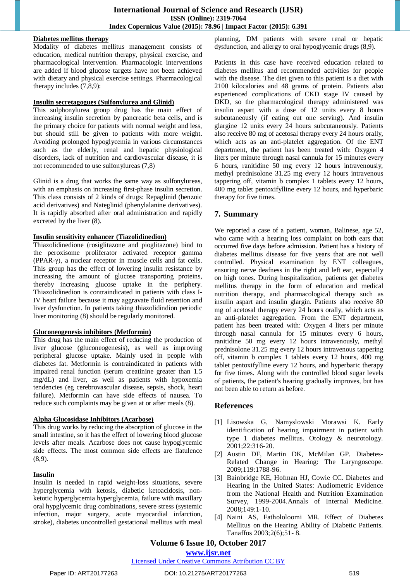## **Diabetes mellitus therapy**

Modality of diabetes mellitus management consists of education, medical nutrition therapy, physical exercise, and pharmacological intervention. Pharmacologic interventions are added if blood glucose targets have not been achieved with dietary and physical exercise settings. Pharmacological therapy includes (7,8,9):

#### **Insulin secretagogues (Sulfonylurea and Glinid)**

This sulphonylurea group drug has the main effect of increasing insulin secretion by pancreatic beta cells, and is the primary choice for patients with normal weight and less, but should still be given to patients with more weight. Avoiding prolonged hypoglycemia in various circumstances such as the elderly, renal and hepatic physiological disorders, lack of nutrition and cardiovascular disease, it is not recommended to use sulfonylureas (7,8)

Glinid is a drug that works the same way as sulfonylureas, with an emphasis on increasing first-phase insulin secretion. This class consists of 2 kinds of drugs: Repaglinid (benzoic acid derivatives) and Nateglinid (phenylalanine derivatives). It is rapidly absorbed after oral administration and rapidly excreted by the liver (8).

## **Insulin sensitivity enhancer (Tiazolidinedion)**

Thiazolidinedione (rosiglitazone and pioglitazone) bind to the peroxisome proliferator activated receptor gamma (PPAR-γ), a nuclear receptor in muscle cells and fat cells. This group has the effect of lowering insulin resistance by increasing the amount of glucose transporting proteins, thereby increasing glucose uptake in the periphery. Thiazolidinedion is contraindicated in patients with class I-IV heart failure because it may aggravate fluid retention and liver dysfunction. In patients taking thiazolidindion periodic liver monitoring (8) should be regularly monitored.

## **Gluconeogenesis inhibitors (Metformin)**

This drug has the main effect of reducing the production of liver glucose (gluconeogenesis), as well as improving peripheral glucose uptake. Mainly used in people with diabetes fat. Metformin is contraindicated in patients with impaired renal function (serum creatinine greater than 1.5 mg/dL) and liver, as well as patients with hypoxemia tendencies (eg cerebrovascular disease, sepsis, shock, heart failure). Metformin can have side effects of nausea. To reduce such complaints may be given at or after meals (8).

## **Alpha Glucosidase Inhibitors (Acarbose)**

This drug works by reducing the absorption of glucose in the small intestine, so it has the effect of lowering blood glucose levels after meals. Acarbose does not cause hypoglycemic side effects. The most common side effects are flatulence (8,9).

## **Insulin**

Insulin is needed in rapid weight-loss situations, severe hyperglycemia with ketosis, diabetic ketoacidosis, nonketotic hyperglycemia hyperglycemia, failure with maxillary oral hypglycemic drug combinations, severe stress (systemic infection, major surgery, acute myocardial infarction, stroke), diabetes uncontrolled gestational mellitus with meal planning, DM patients with severe renal or hepatic dysfunction, and allergy to oral hypoglycemic drugs (8,9).

Patients in this case have received education related to diabetes mellitus and recommended activities for people with the disease. The diet given to this patient is a diet with 2100 kilocalories and 48 grams of protein. Patients also experienced complications of CKD stage IV caused by DKD, so the pharmacological therapy administered was insulin aspart with a dose of 12 units every 8 hours subcutaneously (if eating out one serving). And insulin glargine 12 units every 24 hours subcutaneously. Patients also receive 80 mg of acetosal therapy every 24 hours orally, which acts as an anti-platelet aggregation. Of the ENT department, the patient has been treated with: Oxygen 4 liters per minute through nasal cannula for 15 minutes every 6 hours, ranitidine 50 mg every 12 hours intravenously, methyl prednisolone 31.25 mg every 12 hours intravenous tappering off, vitamin b complex 1 tablets every 12 hours, 400 mg tablet pentoxifylline every 12 hours, and hyperbaric therapy for five times.

# **7. Summary**

We reported a case of a patient, woman, Balinese, age 52, who came with a hearing loss complaint on both ears that occurred five days before admission. Patient has a history of diabetes mellitus disease for five years that are not well controlled. Physical examination by ENT colleagues, ensuring nerve deafness in the right and left ear, especially on high tones. During hospitalization, patients get diabetes mellitus therapy in the form of education and medical nutrition therapy, and pharmacological therapy such as insulin aspart and insulin glargin. Patients also receive 80 mg of acetosal therapy every 24 hours orally, which acts as an anti-platelet aggregation. From the ENT department, patient has been treated with: Oxygen 4 liters per minute through nasal cannula for 15 minutes every 6 hours, ranitidine 50 mg every 12 hours intravenously, methyl prednisolone 31.25 mg every 12 hours intravenous tappering off, vitamin b complex 1 tablets every 12 hours, 400 mg tablet pentoxifylline every 12 hours, and hyperbaric therapy for five times. Along with the controlled blood sugar levels of patients, the patient's hearing gradually improves, but has not been able to return as before.

# **References**

- [1] Lisowska G, Namyslowski Morawsi K. Early identification of hearing impairment in patient with type 1 diabetes mellitus. Otology & neurotology. 2001;22:316-20.
- [2] Austin DF, Martin DK, McMilan GP. Diabetes-Related Change in Hearing: The Laryngoscope. 2009;119:1788-96.
- [3] Bainbridge KE, Hofman HJ, Cowie CC. Diabetes and Hearing in the United States: Audiometric Evidence from the National Health and Nutrition Examination Survey, 1999-2004.Annals of Internal Medicine. 2008;149:1-10.
- [4] Naini AS, Fathololoomi MR. Effect of Diabetes Mellitus on the Hearing Ability of Diabetic Patients. Tanaffos 2003;2(6);51- 8.

# **Volume 6 Issue 10, October 2017**

# **[www.ijsr.net](../Downloads/www.ijsr.net)**